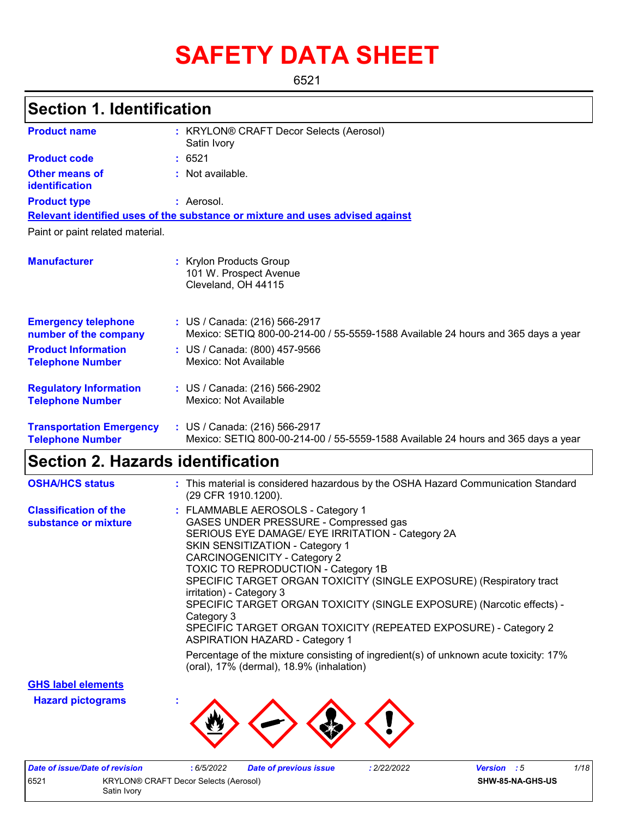# **SAFETY DATA SHEET**

6521

# **Section 1. Identification**

| <b>Product name</b>                                        | : KRYLON® CRAFT Decor Selects (Aerosol)<br>Satin Ivory                                                             |
|------------------------------------------------------------|--------------------------------------------------------------------------------------------------------------------|
| <b>Product code</b>                                        | : 6521                                                                                                             |
| <b>Other means of</b><br>identification                    | : Not available.                                                                                                   |
| <b>Product type</b>                                        | : Aerosol.                                                                                                         |
|                                                            | Relevant identified uses of the substance or mixture and uses advised against                                      |
| Paint or paint related material.                           |                                                                                                                    |
| <b>Manufacturer</b>                                        | : Krylon Products Group<br>101 W. Prospect Avenue<br>Cleveland, OH 44115                                           |
| <b>Emergency telephone</b><br>number of the company        | : US / Canada: (216) 566-2917<br>Mexico: SETIQ 800-00-214-00 / 55-5559-1588 Available 24 hours and 365 days a year |
| <b>Product Information</b><br><b>Telephone Number</b>      | : US / Canada: (800) 457-9566<br>Mexico: Not Available                                                             |
| <b>Regulatory Information</b><br><b>Telephone Number</b>   | : US / Canada: (216) 566-2902<br>Mexico: Not Available                                                             |
| <b>Transportation Emergency</b><br><b>Telephone Number</b> | : US / Canada: (216) 566-2917<br>Mexico: SETIQ 800-00-214-00 / 55-5559-1588 Available 24 hours and 365 days a year |

# **Section 2. Hazards identification**

| <b>OSHA/HCS status</b>                               | : This material is considered hazardous by the OSHA Hazard Communication Standard<br>(29 CFR 1910.1200).                                                                                                                                                                                                                                                                                                                                                                                                                                              |
|------------------------------------------------------|-------------------------------------------------------------------------------------------------------------------------------------------------------------------------------------------------------------------------------------------------------------------------------------------------------------------------------------------------------------------------------------------------------------------------------------------------------------------------------------------------------------------------------------------------------|
| <b>Classification of the</b><br>substance or mixture | : FLAMMABLE AEROSOLS - Category 1<br>GASES UNDER PRESSURE - Compressed gas<br>SERIOUS EYE DAMAGE/ EYE IRRITATION - Category 2A<br>SKIN SENSITIZATION - Category 1<br><b>CARCINOGENICITY - Category 2</b><br>TOXIC TO REPRODUCTION - Category 1B<br>SPECIFIC TARGET ORGAN TOXICITY (SINGLE EXPOSURE) (Respiratory tract<br>irritation) - Category 3<br>SPECIFIC TARGET ORGAN TOXICITY (SINGLE EXPOSURE) (Narcotic effects) -<br>Category 3<br>SPECIFIC TARGET ORGAN TOXICITY (REPEATED EXPOSURE) - Category 2<br><b>ASPIRATION HAZARD - Category 1</b> |
|                                                      | Percentage of the mixture consisting of ingredient(s) of unknown acute toxicity: 17%<br>(oral), 17% (dermal), 18.9% (inhalation)                                                                                                                                                                                                                                                                                                                                                                                                                      |

**GHS label elements**

**Hazard pictograms :**



| Date of issue/Date of revision |                                       | 6/5/2022 | <b>Date of previous issue</b> | : 2/22/2022 | <b>Version</b> : 5 | 1/18 |
|--------------------------------|---------------------------------------|----------|-------------------------------|-------------|--------------------|------|
| 6521                           | KRYLON® CRAFT Decor Selects (Aerosol) |          |                               |             | SHW-85-NA-GHS-US   |      |
|                                | Satin Ivory                           |          |                               |             |                    |      |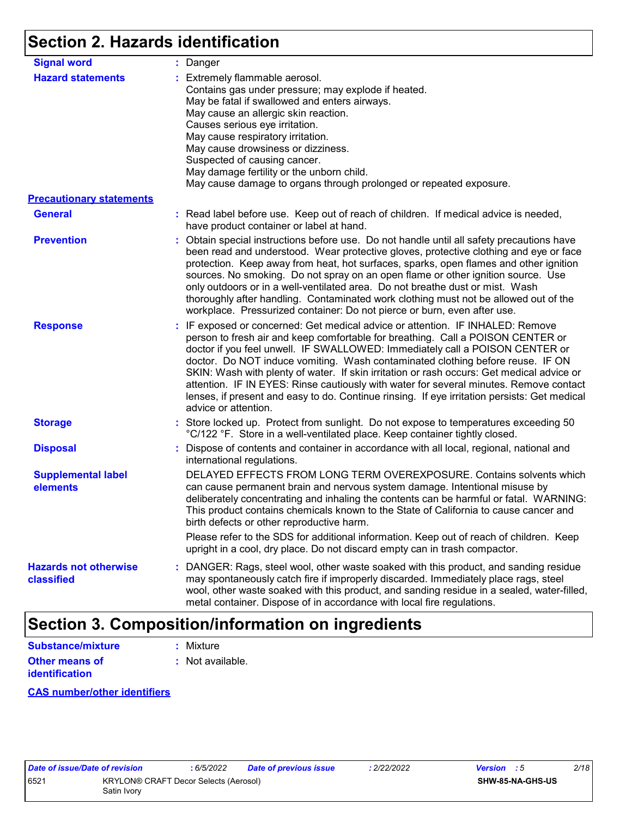# **Section 2. Hazards identification**

| <b>Signal word</b>                         | : Danger                                                                                                                                                                                                                                                                                                                                                                                                                                                                                                                                                                                                                                           |
|--------------------------------------------|----------------------------------------------------------------------------------------------------------------------------------------------------------------------------------------------------------------------------------------------------------------------------------------------------------------------------------------------------------------------------------------------------------------------------------------------------------------------------------------------------------------------------------------------------------------------------------------------------------------------------------------------------|
| <b>Hazard statements</b>                   | : Extremely flammable aerosol.<br>Contains gas under pressure; may explode if heated.<br>May be fatal if swallowed and enters airways.<br>May cause an allergic skin reaction.<br>Causes serious eye irritation.<br>May cause respiratory irritation.<br>May cause drowsiness or dizziness.<br>Suspected of causing cancer.<br>May damage fertility or the unborn child.<br>May cause damage to organs through prolonged or repeated exposure.                                                                                                                                                                                                     |
| <b>Precautionary statements</b>            |                                                                                                                                                                                                                                                                                                                                                                                                                                                                                                                                                                                                                                                    |
| <b>General</b>                             | : Read label before use. Keep out of reach of children. If medical advice is needed,<br>have product container or label at hand.                                                                                                                                                                                                                                                                                                                                                                                                                                                                                                                   |
| <b>Prevention</b>                          | : Obtain special instructions before use. Do not handle until all safety precautions have<br>been read and understood. Wear protective gloves, protective clothing and eye or face<br>protection. Keep away from heat, hot surfaces, sparks, open flames and other ignition<br>sources. No smoking. Do not spray on an open flame or other ignition source. Use<br>only outdoors or in a well-ventilated area. Do not breathe dust or mist. Wash<br>thoroughly after handling. Contaminated work clothing must not be allowed out of the<br>workplace. Pressurized container: Do not pierce or burn, even after use.                               |
| <b>Response</b>                            | : IF exposed or concerned: Get medical advice or attention. IF INHALED: Remove<br>person to fresh air and keep comfortable for breathing. Call a POISON CENTER or<br>doctor if you feel unwell. IF SWALLOWED: Immediately call a POISON CENTER or<br>doctor. Do NOT induce vomiting. Wash contaminated clothing before reuse. IF ON<br>SKIN: Wash with plenty of water. If skin irritation or rash occurs: Get medical advice or<br>attention. IF IN EYES: Rinse cautiously with water for several minutes. Remove contact<br>lenses, if present and easy to do. Continue rinsing. If eye irritation persists: Get medical<br>advice or attention. |
| <b>Storage</b>                             | : Store locked up. Protect from sunlight. Do not expose to temperatures exceeding 50<br>°C/122 °F. Store in a well-ventilated place. Keep container tightly closed.                                                                                                                                                                                                                                                                                                                                                                                                                                                                                |
| <b>Disposal</b>                            | : Dispose of contents and container in accordance with all local, regional, national and<br>international regulations.                                                                                                                                                                                                                                                                                                                                                                                                                                                                                                                             |
| <b>Supplemental label</b><br>elements      | DELAYED EFFECTS FROM LONG TERM OVEREXPOSURE. Contains solvents which<br>can cause permanent brain and nervous system damage. Intentional misuse by<br>deliberately concentrating and inhaling the contents can be harmful or fatal. WARNING:<br>This product contains chemicals known to the State of California to cause cancer and<br>birth defects or other reproductive harm.                                                                                                                                                                                                                                                                  |
|                                            | Please refer to the SDS for additional information. Keep out of reach of children. Keep<br>upright in a cool, dry place. Do not discard empty can in trash compactor.                                                                                                                                                                                                                                                                                                                                                                                                                                                                              |
| <b>Hazards not otherwise</b><br>classified | : DANGER: Rags, steel wool, other waste soaked with this product, and sanding residue<br>may spontaneously catch fire if improperly discarded. Immediately place rags, steel<br>wool, other waste soaked with this product, and sanding residue in a sealed, water-filled,<br>metal container. Dispose of in accordance with local fire regulations.                                                                                                                                                                                                                                                                                               |

## **Section 3. Composition/information on ingredients**

| Substance/mixture     | : Mixture        |
|-----------------------|------------------|
| <b>Other means of</b> | : Not available. |
| <b>identification</b> |                  |

#### **CAS number/other identifiers**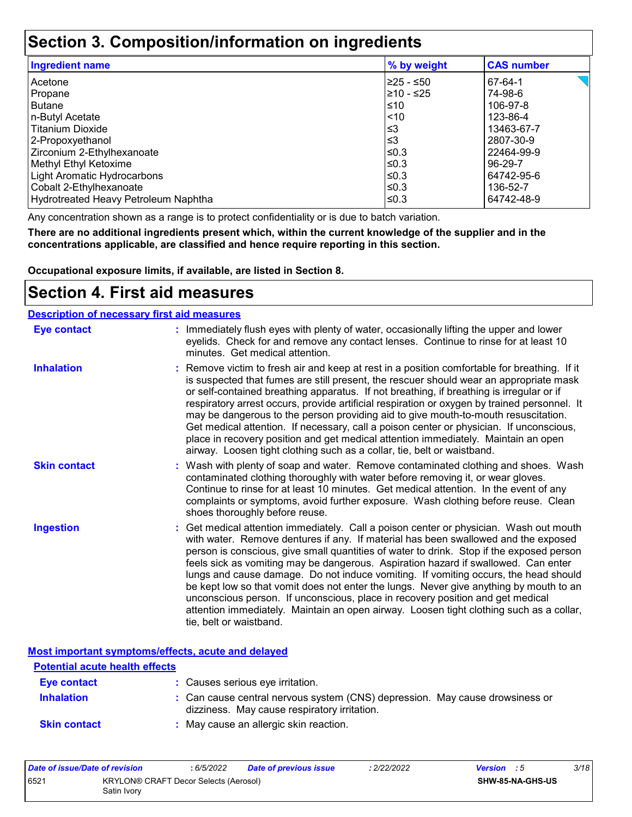### **Section 3. Composition/information on ingredients**

| <b>Ingredient name</b>               | % by weight | <b>CAS number</b> |
|--------------------------------------|-------------|-------------------|
| l Acetone                            | 225 - ≤50   | 67-64-1           |
| Propane                              | l≥10 - ≤25  | 74-98-6           |
| l Butane                             | ≤10         | 106-97-8          |
| n-Butyl Acetate                      | $ $ < 10    | 123-86-4          |
| l Titanium Dioxide                   | ՝≤3         | 13463-67-7        |
| 2-Propoxyethanol                     | ՝≤3         | 2807-30-9         |
| Zirconium 2-Ethylhexanoate           | l≤0.3       | 22464-99-9        |
| Methyl Ethyl Ketoxime                | l≤0.3       | 96-29-7           |
| Light Aromatic Hydrocarbons          | l≤0.3       | 64742-95-6        |
| Cobalt 2-Ethylhexanoate              | l≤0.3       | 136-52-7          |
| Hydrotreated Heavy Petroleum Naphtha | l≤0.3       | 64742-48-9        |

Any concentration shown as a range is to protect confidentiality or is due to batch variation.

**There are no additional ingredients present which, within the current knowledge of the supplier and in the concentrations applicable, are classified and hence require reporting in this section.**

**Occupational exposure limits, if available, are listed in Section 8.**

### **Section 4. First aid measures**

#### **Description of necessary first aid measures**

| <b>Eye contact</b>  | : Immediately flush eyes with plenty of water, occasionally lifting the upper and lower<br>eyelids. Check for and remove any contact lenses. Continue to rinse for at least 10<br>minutes. Get medical attention.                                                                                                                                                                                                                                                                                                                                                                                                                                                                                                                                       |
|---------------------|---------------------------------------------------------------------------------------------------------------------------------------------------------------------------------------------------------------------------------------------------------------------------------------------------------------------------------------------------------------------------------------------------------------------------------------------------------------------------------------------------------------------------------------------------------------------------------------------------------------------------------------------------------------------------------------------------------------------------------------------------------|
| <b>Inhalation</b>   | : Remove victim to fresh air and keep at rest in a position comfortable for breathing. If it<br>is suspected that fumes are still present, the rescuer should wear an appropriate mask<br>or self-contained breathing apparatus. If not breathing, if breathing is irregular or if<br>respiratory arrest occurs, provide artificial respiration or oxygen by trained personnel. It<br>may be dangerous to the person providing aid to give mouth-to-mouth resuscitation.<br>Get medical attention. If necessary, call a poison center or physician. If unconscious,<br>place in recovery position and get medical attention immediately. Maintain an open<br>airway. Loosen tight clothing such as a collar, tie, belt or waistband.                    |
| <b>Skin contact</b> | : Wash with plenty of soap and water. Remove contaminated clothing and shoes. Wash<br>contaminated clothing thoroughly with water before removing it, or wear gloves.<br>Continue to rinse for at least 10 minutes. Get medical attention. In the event of any<br>complaints or symptoms, avoid further exposure. Wash clothing before reuse. Clean<br>shoes thoroughly before reuse.                                                                                                                                                                                                                                                                                                                                                                   |
| <b>Ingestion</b>    | : Get medical attention immediately. Call a poison center or physician. Wash out mouth<br>with water. Remove dentures if any. If material has been swallowed and the exposed<br>person is conscious, give small quantities of water to drink. Stop if the exposed person<br>feels sick as vomiting may be dangerous. Aspiration hazard if swallowed. Can enter<br>lungs and cause damage. Do not induce vomiting. If vomiting occurs, the head should<br>be kept low so that vomit does not enter the lungs. Never give anything by mouth to an<br>unconscious person. If unconscious, place in recovery position and get medical<br>attention immediately. Maintain an open airway. Loosen tight clothing such as a collar,<br>tie, belt or waistband. |

**Most important symptoms/effects, acute and delayed**

| <b>Potential acute health effects</b> |                                                                                                                              |
|---------------------------------------|------------------------------------------------------------------------------------------------------------------------------|
| Eye contact                           | : Causes serious eye irritation.                                                                                             |
| <b>Inhalation</b>                     | : Can cause central nervous system (CNS) depression. May cause drowsiness or<br>dizziness. May cause respiratory irritation. |
| <b>Skin contact</b>                   | : May cause an allergic skin reaction.                                                                                       |

| Date of issue/Date of revision |                                                      | 6/5/2022 | <b>Date of previous issue</b> | : 2/22/2022 | <b>Version</b> : 5 |                  | 3/18 |
|--------------------------------|------------------------------------------------------|----------|-------------------------------|-------------|--------------------|------------------|------|
| 6521                           | KRYLON® CRAFT Decor Selects (Aerosol)<br>Satin Ivorv |          |                               |             |                    | SHW-85-NA-GHS-US |      |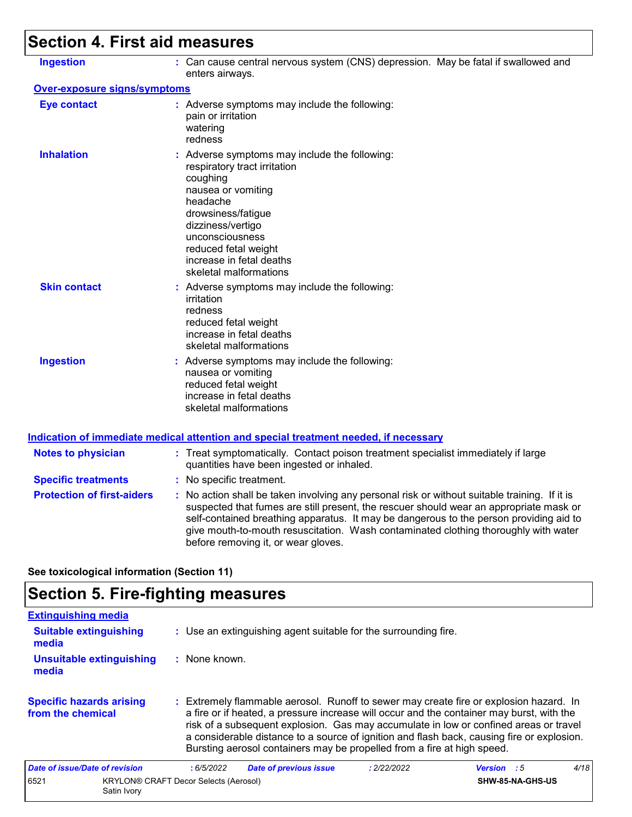# **Section 4. First aid measures**

| <b>Ingestion</b>                    | : Can cause central nervous system (CNS) depression. May be fatal if swallowed and<br>enters airways.                                                                                                                                                                                                                                                                                                           |
|-------------------------------------|-----------------------------------------------------------------------------------------------------------------------------------------------------------------------------------------------------------------------------------------------------------------------------------------------------------------------------------------------------------------------------------------------------------------|
| <b>Over-exposure signs/symptoms</b> |                                                                                                                                                                                                                                                                                                                                                                                                                 |
| <b>Eye contact</b>                  | : Adverse symptoms may include the following:<br>pain or irritation<br>watering<br>redness                                                                                                                                                                                                                                                                                                                      |
| <b>Inhalation</b>                   | : Adverse symptoms may include the following:<br>respiratory tract irritation<br>coughing<br>nausea or vomiting<br>headache<br>drowsiness/fatigue<br>dizziness/vertigo<br>unconsciousness<br>reduced fetal weight<br>increase in fetal deaths<br>skeletal malformations                                                                                                                                         |
| <b>Skin contact</b>                 | : Adverse symptoms may include the following:<br>irritation<br>redness<br>reduced fetal weight<br>increase in fetal deaths<br>skeletal malformations                                                                                                                                                                                                                                                            |
| <b>Ingestion</b>                    | : Adverse symptoms may include the following:<br>nausea or vomiting<br>reduced fetal weight<br>increase in fetal deaths<br>skeletal malformations                                                                                                                                                                                                                                                               |
|                                     | <b>Indication of immediate medical attention and special treatment needed, if necessary</b>                                                                                                                                                                                                                                                                                                                     |
| <b>Notes to physician</b>           | : Treat symptomatically. Contact poison treatment specialist immediately if large<br>quantities have been ingested or inhaled.                                                                                                                                                                                                                                                                                  |
| <b>Specific treatments</b>          | : No specific treatment.                                                                                                                                                                                                                                                                                                                                                                                        |
| <b>Protection of first-aiders</b>   | : No action shall be taken involving any personal risk or without suitable training. If it is<br>suspected that fumes are still present, the rescuer should wear an appropriate mask or<br>self-contained breathing apparatus. It may be dangerous to the person providing aid to<br>give mouth-to-mouth resuscitation. Wash contaminated clothing thoroughly with water<br>before removing it, or wear gloves. |
|                                     |                                                                                                                                                                                                                                                                                                                                                                                                                 |

**See toxicological information (Section 11)**

# **Section 5. Fire-fighting measures**

| <b>Extinguishing media</b>                           |                                              |                                                                                                                                                                                                                                                                                                                                                                                                                                                       |             |                         |      |
|------------------------------------------------------|----------------------------------------------|-------------------------------------------------------------------------------------------------------------------------------------------------------------------------------------------------------------------------------------------------------------------------------------------------------------------------------------------------------------------------------------------------------------------------------------------------------|-------------|-------------------------|------|
| <b>Suitable extinguishing</b><br>media               |                                              | : Use an extinguishing agent suitable for the surrounding fire.                                                                                                                                                                                                                                                                                                                                                                                       |             |                         |      |
| <b>Unsuitable extinguishing</b><br>media             | $:$ None known.                              |                                                                                                                                                                                                                                                                                                                                                                                                                                                       |             |                         |      |
| <b>Specific hazards arising</b><br>from the chemical |                                              | : Extremely flammable aerosol. Runoff to sewer may create fire or explosion hazard. In<br>a fire or if heated, a pressure increase will occur and the container may burst, with the<br>risk of a subsequent explosion. Gas may accumulate in low or confined areas or travel<br>a considerable distance to a source of ignition and flash back, causing fire or explosion.<br>Bursting aerosol containers may be propelled from a fire at high speed. |             |                         |      |
| Date of issue/Date of revision                       | :6/5/2022                                    | <b>Date of previous issue</b>                                                                                                                                                                                                                                                                                                                                                                                                                         | : 2/22/2022 | <b>Version</b> : 5      | 4/18 |
| 6521<br>Satin Ivory                                  | <b>KRYLON® CRAFT Decor Selects (Aerosol)</b> |                                                                                                                                                                                                                                                                                                                                                                                                                                                       |             | <b>SHW-85-NA-GHS-US</b> |      |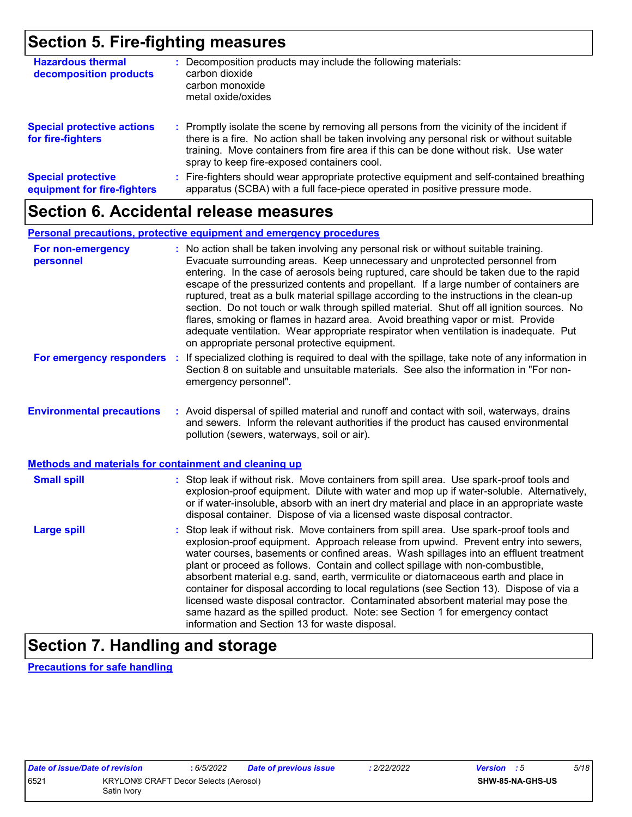### **Section 5. Fire-fighting measures**

| <b>Hazardous thermal</b><br>decomposition products       | Decomposition products may include the following materials:<br>carbon dioxide<br>carbon monoxide<br>metal oxide/oxides                                                                                                                                                                                                        |
|----------------------------------------------------------|-------------------------------------------------------------------------------------------------------------------------------------------------------------------------------------------------------------------------------------------------------------------------------------------------------------------------------|
| <b>Special protective actions</b><br>for fire-fighters   | : Promptly isolate the scene by removing all persons from the vicinity of the incident if<br>there is a fire. No action shall be taken involving any personal risk or without suitable<br>training. Move containers from fire area if this can be done without risk. Use water<br>spray to keep fire-exposed containers cool. |
| <b>Special protective</b><br>equipment for fire-fighters | Fire-fighters should wear appropriate protective equipment and self-contained breathing<br>apparatus (SCBA) with a full face-piece operated in positive pressure mode.                                                                                                                                                        |

### **Section 6. Accidental release measures**

#### **Personal precautions, protective equipment and emergency procedures**

| For non-emergency<br>personnel                               | : No action shall be taken involving any personal risk or without suitable training.<br>Evacuate surrounding areas. Keep unnecessary and unprotected personnel from<br>entering. In the case of aerosols being ruptured, care should be taken due to the rapid<br>escape of the pressurized contents and propellant. If a large number of containers are<br>ruptured, treat as a bulk material spillage according to the instructions in the clean-up<br>section. Do not touch or walk through spilled material. Shut off all ignition sources. No<br>flares, smoking or flames in hazard area. Avoid breathing vapor or mist. Provide<br>adequate ventilation. Wear appropriate respirator when ventilation is inadequate. Put<br>on appropriate personal protective equipment. |  |
|--------------------------------------------------------------|----------------------------------------------------------------------------------------------------------------------------------------------------------------------------------------------------------------------------------------------------------------------------------------------------------------------------------------------------------------------------------------------------------------------------------------------------------------------------------------------------------------------------------------------------------------------------------------------------------------------------------------------------------------------------------------------------------------------------------------------------------------------------------|--|
| For emergency responders                                     | : If specialized clothing is required to deal with the spillage, take note of any information in<br>Section 8 on suitable and unsuitable materials. See also the information in "For non-<br>emergency personnel".                                                                                                                                                                                                                                                                                                                                                                                                                                                                                                                                                               |  |
| <b>Environmental precautions</b>                             | : Avoid dispersal of spilled material and runoff and contact with soil, waterways, drains<br>and sewers. Inform the relevant authorities if the product has caused environmental<br>pollution (sewers, waterways, soil or air).                                                                                                                                                                                                                                                                                                                                                                                                                                                                                                                                                  |  |
| <b>Methods and materials for containment and cleaning up</b> |                                                                                                                                                                                                                                                                                                                                                                                                                                                                                                                                                                                                                                                                                                                                                                                  |  |
| <b>Small spill</b>                                           | : Stop leak if without risk. Move containers from spill area. Use spark-proof tools and<br>explosion-proof equipment. Dilute with water and mop up if water-soluble. Alternatively,<br>or if water-insoluble, absorb with an inert dry material and place in an appropriate waste<br>disposal container. Dispose of via a licensed waste disposal contractor.                                                                                                                                                                                                                                                                                                                                                                                                                    |  |
| <b>Large spill</b>                                           | : Stop leak if without risk. Move containers from spill area. Use spark-proof tools and<br>explosion-proof equipment. Approach release from upwind. Prevent entry into sewers,<br>water courses, basements or confined areas. Wash spillages into an effluent treatment<br>plant or proceed as follows. Contain and collect spillage with non-combustible,<br>absorbent material e.g. sand, earth, vermiculite or diatomaceous earth and place in<br>container for disposal according to local regulations (see Section 13). Dispose of via a<br>licensed waste disposal contractor. Contaminated absorbent material may pose the<br>same hazard as the spilled product. Note: see Section 1 for emergency contact<br>information and Section 13 for waste disposal.             |  |

# **Section 7. Handling and storage**

**Precautions for safe handling**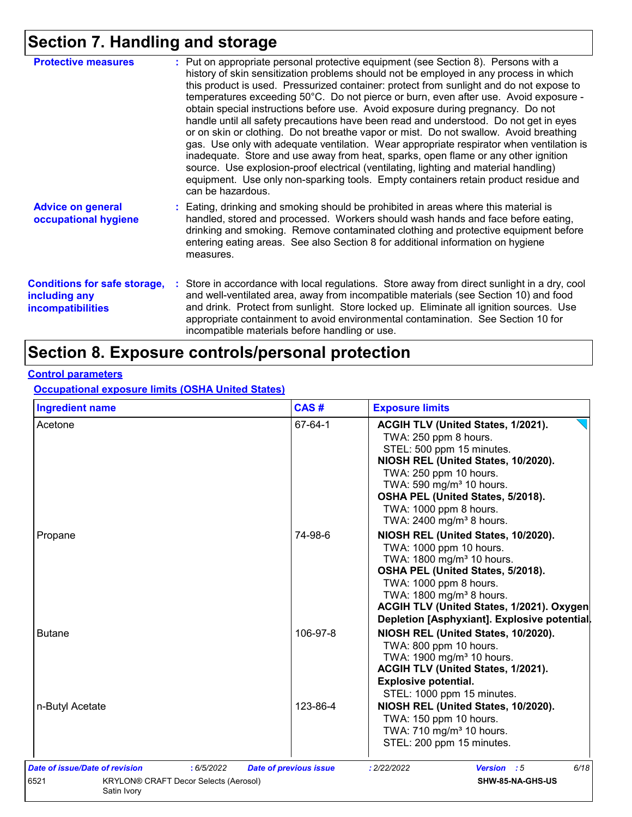# **Section 7. Handling and storage**

| <b>Protective measures</b>                                                       | : Put on appropriate personal protective equipment (see Section 8). Persons with a<br>history of skin sensitization problems should not be employed in any process in which<br>this product is used. Pressurized container: protect from sunlight and do not expose to<br>temperatures exceeding 50°C. Do not pierce or burn, even after use. Avoid exposure -<br>obtain special instructions before use. Avoid exposure during pregnancy. Do not<br>handle until all safety precautions have been read and understood. Do not get in eyes<br>or on skin or clothing. Do not breathe vapor or mist. Do not swallow. Avoid breathing<br>gas. Use only with adequate ventilation. Wear appropriate respirator when ventilation is<br>inadequate. Store and use away from heat, sparks, open flame or any other ignition<br>source. Use explosion-proof electrical (ventilating, lighting and material handling)<br>equipment. Use only non-sparking tools. Empty containers retain product residue and<br>can be hazardous. |
|----------------------------------------------------------------------------------|---------------------------------------------------------------------------------------------------------------------------------------------------------------------------------------------------------------------------------------------------------------------------------------------------------------------------------------------------------------------------------------------------------------------------------------------------------------------------------------------------------------------------------------------------------------------------------------------------------------------------------------------------------------------------------------------------------------------------------------------------------------------------------------------------------------------------------------------------------------------------------------------------------------------------------------------------------------------------------------------------------------------------|
| <b>Advice on general</b><br>occupational hygiene                                 | : Eating, drinking and smoking should be prohibited in areas where this material is<br>handled, stored and processed. Workers should wash hands and face before eating,<br>drinking and smoking. Remove contaminated clothing and protective equipment before<br>entering eating areas. See also Section 8 for additional information on hygiene<br>measures.                                                                                                                                                                                                                                                                                                                                                                                                                                                                                                                                                                                                                                                             |
| <b>Conditions for safe storage,</b><br>including any<br><b>incompatibilities</b> | : Store in accordance with local regulations. Store away from direct sunlight in a dry, cool<br>and well-ventilated area, away from incompatible materials (see Section 10) and food<br>and drink. Protect from sunlight. Store locked up. Eliminate all ignition sources. Use<br>appropriate containment to avoid environmental contamination. See Section 10 for<br>incompatible materials before handling or use.                                                                                                                                                                                                                                                                                                                                                                                                                                                                                                                                                                                                      |

## **Section 8. Exposure controls/personal protection**

#### **Control parameters**

**Occupational exposure limits (OSHA United States)**

| <b>Ingredient name</b>                               | CAS#                          | <b>Exposure limits</b>                                                                   |
|------------------------------------------------------|-------------------------------|------------------------------------------------------------------------------------------|
| Acetone                                              | 67-64-1                       | ACGIH TLV (United States, 1/2021).<br>TWA: 250 ppm 8 hours.<br>STEL: 500 ppm 15 minutes. |
|                                                      |                               | NIOSH REL (United States, 10/2020).<br>TWA: 250 ppm 10 hours.                            |
|                                                      |                               | TWA: 590 mg/m <sup>3</sup> 10 hours.                                                     |
|                                                      |                               | OSHA PEL (United States, 5/2018).                                                        |
|                                                      |                               | TWA: 1000 ppm 8 hours.                                                                   |
|                                                      |                               | TWA: 2400 mg/m <sup>3</sup> 8 hours.                                                     |
| Propane                                              | 74-98-6                       | NIOSH REL (United States, 10/2020).                                                      |
|                                                      |                               | TWA: 1000 ppm 10 hours.                                                                  |
|                                                      |                               | TWA: 1800 mg/m <sup>3</sup> 10 hours.                                                    |
|                                                      |                               | OSHA PEL (United States, 5/2018).                                                        |
|                                                      |                               | TWA: 1000 ppm 8 hours.<br>TWA: 1800 mg/m <sup>3</sup> 8 hours.                           |
|                                                      |                               | ACGIH TLV (United States, 1/2021). Oxygen                                                |
|                                                      |                               | Depletion [Asphyxiant]. Explosive potential.                                             |
| <b>Butane</b>                                        | 106-97-8                      | NIOSH REL (United States, 10/2020).                                                      |
|                                                      |                               | TWA: 800 ppm 10 hours.                                                                   |
|                                                      |                               | TWA: 1900 mg/m <sup>3</sup> 10 hours.                                                    |
|                                                      |                               | ACGIH TLV (United States, 1/2021).                                                       |
|                                                      |                               | <b>Explosive potential.</b>                                                              |
|                                                      |                               | STEL: 1000 ppm 15 minutes.                                                               |
| n-Butyl Acetate                                      | 123-86-4                      | NIOSH REL (United States, 10/2020).                                                      |
|                                                      |                               | TWA: 150 ppm 10 hours.                                                                   |
|                                                      |                               | TWA: 710 mg/m <sup>3</sup> 10 hours.                                                     |
|                                                      |                               | STEL: 200 ppm 15 minutes.                                                                |
| Date of issue/Date of revision<br>: 6/5/2022         | <b>Date of previous issue</b> | 6/18<br>Version : 5<br>: 2/22/2022                                                       |
| 6521<br><b>KRYLON® CRAFT Decor Selects (Aerosol)</b> |                               | SHW-85-NA-GHS-US                                                                         |
| Satin Ivory                                          |                               |                                                                                          |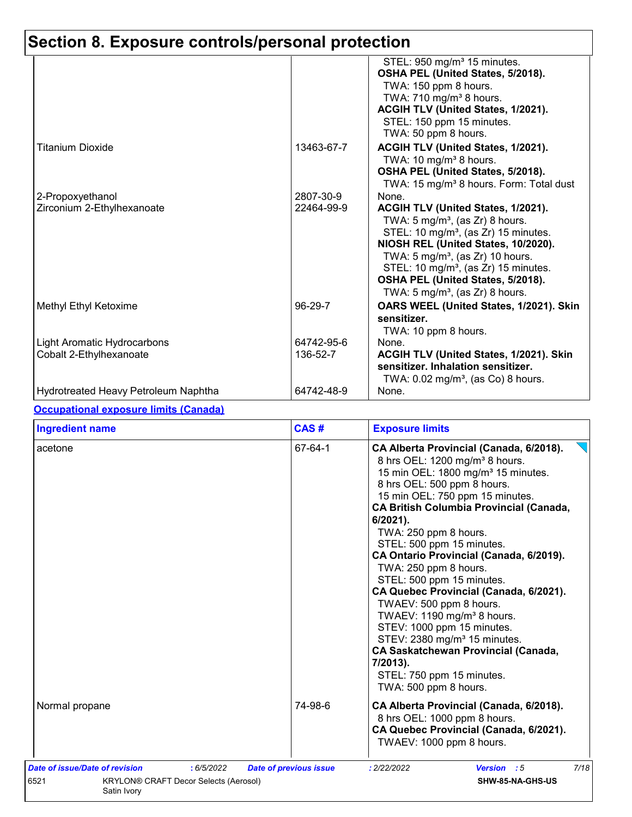# **Section 8. Exposure controls/personal protection**

|                                                        |                         | STEL: 950 mg/m <sup>3</sup> 15 minutes.<br>OSHA PEL (United States, 5/2018).<br>TWA: 150 ppm 8 hours.<br>TWA: 710 mg/m <sup>3</sup> 8 hours.<br>ACGIH TLV (United States, 1/2021).<br>STEL: 150 ppm 15 minutes.<br>TWA: 50 ppm 8 hours.                                                                                                                                    |
|--------------------------------------------------------|-------------------------|----------------------------------------------------------------------------------------------------------------------------------------------------------------------------------------------------------------------------------------------------------------------------------------------------------------------------------------------------------------------------|
| Titanium Dioxide                                       | 13463-67-7              | ACGIH TLV (United States, 1/2021).<br>TWA: 10 mg/m <sup>3</sup> 8 hours.<br>OSHA PEL (United States, 5/2018).<br>TWA: 15 mg/m <sup>3</sup> 8 hours. Form: Total dust                                                                                                                                                                                                       |
| 2-Propoxyethanol<br>Zirconium 2-Ethylhexanoate         | 2807-30-9<br>22464-99-9 | None.<br>ACGIH TLV (United States, 1/2021).<br>TWA: $5 \text{ mg/m}^3$ , (as Zr) 8 hours.<br>STEL: 10 mg/m <sup>3</sup> , (as Zr) 15 minutes.<br>NIOSH REL (United States, 10/2020).<br>TWA: $5 \text{ mg/m}^3$ , (as Zr) 10 hours.<br>STEL: 10 mg/m <sup>3</sup> , (as Zr) 15 minutes.<br>OSHA PEL (United States, 5/2018).<br>TWA: $5 \text{ mg/m}^3$ , (as Zr) 8 hours. |
| Methyl Ethyl Ketoxime                                  | 96-29-7                 | OARS WEEL (United States, 1/2021). Skin<br>sensitizer.<br>TWA: 10 ppm 8 hours.                                                                                                                                                                                                                                                                                             |
| Light Aromatic Hydrocarbons<br>Cobalt 2-Ethylhexanoate | 64742-95-6<br>136-52-7  | None.<br>ACGIH TLV (United States, 1/2021). Skin<br>sensitizer. Inhalation sensitizer.<br>TWA: $0.02 \text{ mg/m}^3$ , (as Co) 8 hours.                                                                                                                                                                                                                                    |
| Hydrotreated Heavy Petroleum Naphtha                   | 64742-48-9              | None.                                                                                                                                                                                                                                                                                                                                                                      |

#### **Occupational exposure limits (Canada)**

| <b>Ingredient name</b>                                                                               | CAS#                          | <b>Exposure limits</b>                                                                                                                                                                                                                                                                                                                                                                                                                                                                                                                                                                                                                                                                                                                    |
|------------------------------------------------------------------------------------------------------|-------------------------------|-------------------------------------------------------------------------------------------------------------------------------------------------------------------------------------------------------------------------------------------------------------------------------------------------------------------------------------------------------------------------------------------------------------------------------------------------------------------------------------------------------------------------------------------------------------------------------------------------------------------------------------------------------------------------------------------------------------------------------------------|
| acetone                                                                                              | 67-64-1                       | CA Alberta Provincial (Canada, 6/2018).<br>8 hrs OEL: 1200 mg/m <sup>3</sup> 8 hours.<br>15 min OEL: 1800 mg/m <sup>3</sup> 15 minutes.<br>8 hrs OEL: 500 ppm 8 hours.<br>15 min OEL: 750 ppm 15 minutes.<br><b>CA British Columbia Provincial (Canada,</b><br>$6/2021$ .<br>TWA: 250 ppm 8 hours.<br>STEL: 500 ppm 15 minutes.<br>CA Ontario Provincial (Canada, 6/2019).<br>TWA: 250 ppm 8 hours.<br>STEL: 500 ppm 15 minutes.<br>CA Quebec Provincial (Canada, 6/2021).<br>TWAEV: 500 ppm 8 hours.<br>TWAEV: 1190 mg/m <sup>3</sup> 8 hours.<br>STEV: 1000 ppm 15 minutes.<br>STEV: 2380 mg/m <sup>3</sup> 15 minutes.<br><b>CA Saskatchewan Provincial (Canada,</b><br>7/2013).<br>STEL: 750 ppm 15 minutes.<br>TWA: 500 ppm 8 hours. |
| Normal propane                                                                                       | 74-98-6                       | CA Alberta Provincial (Canada, 6/2018).<br>8 hrs OEL: 1000 ppm 8 hours.<br>CA Quebec Provincial (Canada, 6/2021).<br>TWAEV: 1000 ppm 8 hours.                                                                                                                                                                                                                                                                                                                                                                                                                                                                                                                                                                                             |
| Date of issue/Date of revision<br>: 6/5/2022<br>6521<br><b>KRYLON® CRAFT Decor Selects (Aerosol)</b> | <b>Date of previous issue</b> | 7/18<br>: 2/22/2022<br>Version : 5<br>SHW-85-NA-GHS-US                                                                                                                                                                                                                                                                                                                                                                                                                                                                                                                                                                                                                                                                                    |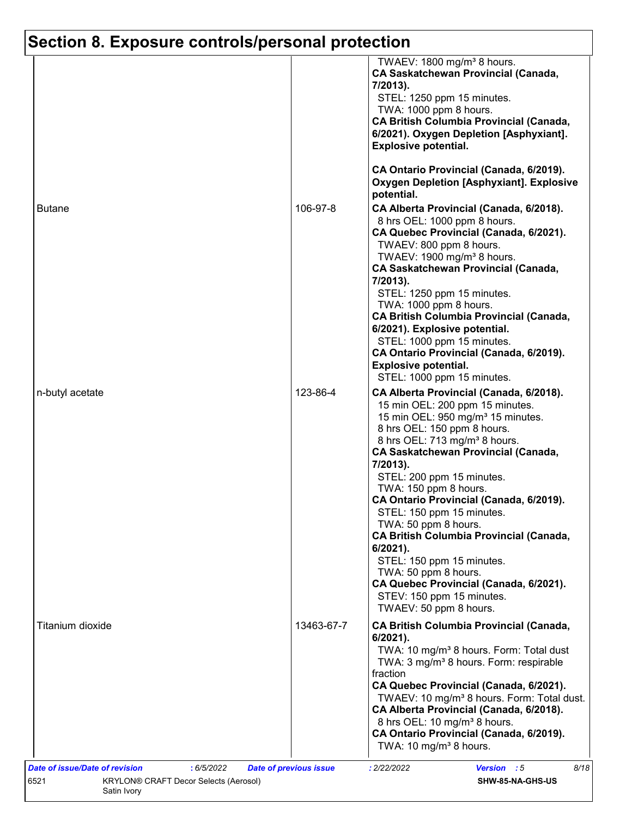# **Section 8. Exposure controls/personal protection**

|                  |            | TWAEV: 1800 mg/m <sup>3</sup> 8 hours.<br><b>CA Saskatchewan Provincial (Canada,</b><br>7/2013).<br>STEL: 1250 ppm 15 minutes.<br>TWA: 1000 ppm 8 hours.<br><b>CA British Columbia Provincial (Canada,</b><br>6/2021). Oxygen Depletion [Asphyxiant].<br><b>Explosive potential.</b><br>CA Ontario Provincial (Canada, 6/2019).                                                                                                                                                                                                                                                                                      |
|------------------|------------|----------------------------------------------------------------------------------------------------------------------------------------------------------------------------------------------------------------------------------------------------------------------------------------------------------------------------------------------------------------------------------------------------------------------------------------------------------------------------------------------------------------------------------------------------------------------------------------------------------------------|
|                  |            | <b>Oxygen Depletion [Asphyxiant]. Explosive</b>                                                                                                                                                                                                                                                                                                                                                                                                                                                                                                                                                                      |
|                  |            | potential.                                                                                                                                                                                                                                                                                                                                                                                                                                                                                                                                                                                                           |
| <b>Butane</b>    | 106-97-8   | CA Alberta Provincial (Canada, 6/2018).<br>8 hrs OEL: 1000 ppm 8 hours.<br>CA Quebec Provincial (Canada, 6/2021).<br>TWAEV: 800 ppm 8 hours.<br>TWAEV: 1900 mg/m <sup>3</sup> 8 hours.<br><b>CA Saskatchewan Provincial (Canada,</b><br>7/2013).                                                                                                                                                                                                                                                                                                                                                                     |
|                  |            | STEL: 1250 ppm 15 minutes.<br>TWA: 1000 ppm 8 hours.<br><b>CA British Columbia Provincial (Canada,</b><br>6/2021). Explosive potential.<br>STEL: 1000 ppm 15 minutes.<br>CA Ontario Provincial (Canada, 6/2019).                                                                                                                                                                                                                                                                                                                                                                                                     |
|                  |            | <b>Explosive potential.</b><br>STEL: 1000 ppm 15 minutes.                                                                                                                                                                                                                                                                                                                                                                                                                                                                                                                                                            |
| n-butyl acetate  | 123-86-4   | CA Alberta Provincial (Canada, 6/2018).<br>15 min OEL: 200 ppm 15 minutes.<br>15 min OEL: 950 mg/m <sup>3</sup> 15 minutes.<br>8 hrs OEL: 150 ppm 8 hours.<br>8 hrs OEL: 713 mg/m <sup>3</sup> 8 hours.<br><b>CA Saskatchewan Provincial (Canada,</b><br>7/2013).<br>STEL: 200 ppm 15 minutes.<br>TWA: 150 ppm 8 hours.<br>CA Ontario Provincial (Canada, 6/2019).<br>STEL: 150 ppm 15 minutes.<br>TWA: 50 ppm 8 hours.<br><b>CA British Columbia Provincial (Canada,</b><br>$6/2021$ ).<br>STEL: 150 ppm 15 minutes.<br>TWA: 50 ppm 8 hours.<br>CA Quebec Provincial (Canada, 6/2021).<br>STEV: 150 ppm 15 minutes. |
|                  |            | TWAEV: 50 ppm 8 hours.                                                                                                                                                                                                                                                                                                                                                                                                                                                                                                                                                                                               |
| Titanium dioxide | 13463-67-7 | <b>CA British Columbia Provincial (Canada,</b><br>6/2021).<br>TWA: 10 mg/m <sup>3</sup> 8 hours. Form: Total dust<br>TWA: 3 mg/m <sup>3</sup> 8 hours. Form: respirable<br>fraction<br>CA Quebec Provincial (Canada, 6/2021).<br>TWAEV: 10 mg/m <sup>3</sup> 8 hours. Form: Total dust.<br>CA Alberta Provincial (Canada, 6/2018).<br>8 hrs OEL: 10 mg/m <sup>3</sup> 8 hours.<br>CA Ontario Provincial (Canada, 6/2019).<br>TWA: 10 mg/m <sup>3</sup> 8 hours.                                                                                                                                                      |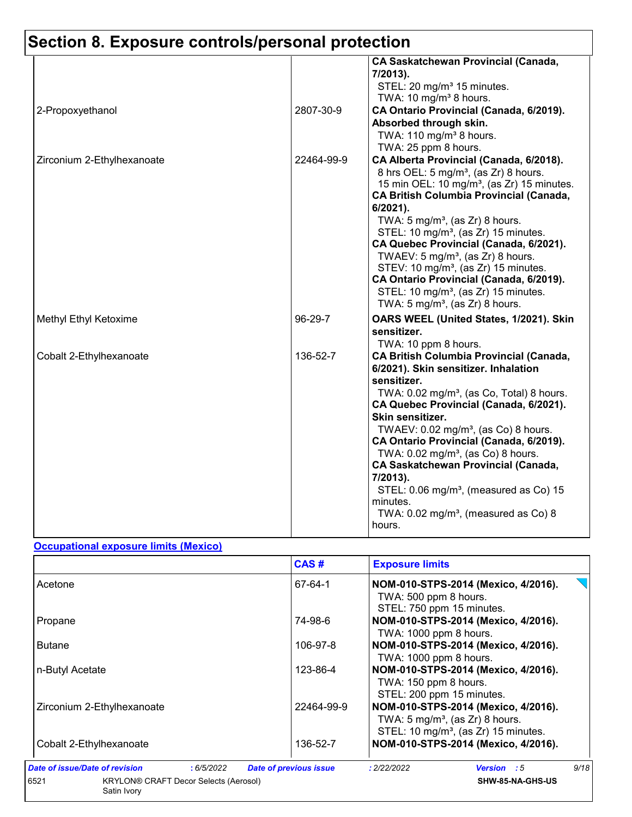# **Section 8. Exposure controls/personal protection**

|                            |            | <b>CA Saskatchewan Provincial (Canada,</b><br>7/2013).<br>STEL: 20 mg/m <sup>3</sup> 15 minutes.<br>TWA: 10 mg/m <sup>3</sup> 8 hours.                                                                                                                                                                                                                                                                                                                                                                                                                                                                                |
|----------------------------|------------|-----------------------------------------------------------------------------------------------------------------------------------------------------------------------------------------------------------------------------------------------------------------------------------------------------------------------------------------------------------------------------------------------------------------------------------------------------------------------------------------------------------------------------------------------------------------------------------------------------------------------|
| 2-Propoxyethanol           | 2807-30-9  | CA Ontario Provincial (Canada, 6/2019).<br>Absorbed through skin.<br>TWA: $110$ mg/m <sup>3</sup> 8 hours.<br>TWA: 25 ppm 8 hours.                                                                                                                                                                                                                                                                                                                                                                                                                                                                                    |
| Zirconium 2-Ethylhexanoate | 22464-99-9 | CA Alberta Provincial (Canada, 6/2018).<br>8 hrs OEL: 5 mg/m <sup>3</sup> , (as Zr) 8 hours.<br>15 min OEL: 10 mg/m <sup>3</sup> , (as Zr) 15 minutes.<br><b>CA British Columbia Provincial (Canada,</b><br>6/2021).<br>TWA: $5 \text{ mg/m}^3$ , (as Zr) 8 hours.<br>STEL: 10 mg/m <sup>3</sup> , (as Zr) 15 minutes.<br>CA Quebec Provincial (Canada, 6/2021).<br>TWAEV: 5 mg/m <sup>3</sup> , (as $Zr$ ) 8 hours.<br>STEV: 10 mg/m <sup>3</sup> , (as Zr) 15 minutes.<br>CA Ontario Provincial (Canada, 6/2019).<br>STEL: 10 mg/m <sup>3</sup> , (as Zr) 15 minutes.<br>TWA: $5 \text{ mg/m}^3$ , (as Zr) 8 hours. |
| Methyl Ethyl Ketoxime      | 96-29-7    | OARS WEEL (United States, 1/2021). Skin<br>sensitizer.<br>TWA: 10 ppm 8 hours.                                                                                                                                                                                                                                                                                                                                                                                                                                                                                                                                        |
| Cobalt 2-Ethylhexanoate    | 136-52-7   | <b>CA British Columbia Provincial (Canada,</b><br>6/2021). Skin sensitizer. Inhalation<br>sensitizer.<br>TWA: 0.02 mg/m <sup>3</sup> , (as Co, Total) 8 hours.<br>CA Quebec Provincial (Canada, 6/2021).<br>Skin sensitizer.<br>TWAEV: $0.02$ mg/m <sup>3</sup> , (as Co) 8 hours.<br>CA Ontario Provincial (Canada, 6/2019).<br>TWA: $0.02$ mg/m <sup>3</sup> , (as Co) 8 hours.<br><b>CA Saskatchewan Provincial (Canada,</b><br>7/2013).<br>STEL: 0.06 mg/m <sup>3</sup> , (measured as Co) 15<br>minutes.<br>TWA: $0.02$ mg/m <sup>3</sup> , (measured as Co) 8<br>hours.                                         |

#### **Occupational exposure limits (Mexico)**

|                                                                     | CAS#                          | <b>Exposure limits</b>                                                                                                                |
|---------------------------------------------------------------------|-------------------------------|---------------------------------------------------------------------------------------------------------------------------------------|
| Acetone                                                             | 67-64-1                       | NOM-010-STPS-2014 (Mexico, 4/2016).<br>TWA: 500 ppm 8 hours.<br>STEL: 750 ppm 15 minutes.                                             |
| Propane                                                             | 74-98-6                       | NOM-010-STPS-2014 (Mexico, 4/2016).<br>TWA: 1000 ppm 8 hours.                                                                         |
| <b>Butane</b>                                                       | 106-97-8                      | NOM-010-STPS-2014 (Mexico, 4/2016).<br>TWA: 1000 ppm 8 hours.                                                                         |
| n-Butyl Acetate                                                     | 123-86-4                      | NOM-010-STPS-2014 (Mexico, 4/2016).<br>TWA: 150 ppm 8 hours.<br>STEL: 200 ppm 15 minutes.                                             |
| Zirconium 2-Ethylhexanoate                                          | 22464-99-9                    | NOM-010-STPS-2014 (Mexico, 4/2016).<br>TWA: $5 \text{ mg/m}^3$ , (as Zr) 8 hours.<br>STEL: 10 mg/m <sup>3</sup> , (as Zr) 15 minutes. |
| Cobalt 2-Ethylhexanoate                                             | 136-52-7                      | NOM-010-STPS-2014 (Mexico, 4/2016).                                                                                                   |
| Date of issue/Date of revision<br>:6/5/2022                         | <b>Date of previous issue</b> | 9/18<br>: 2/22/2022<br><b>Version</b> : 5                                                                                             |
| 6521<br><b>KRYLON® CRAFT Decor Selects (Aerosol)</b><br>Satin Ivory |                               | SHW-85-NA-GHS-US                                                                                                                      |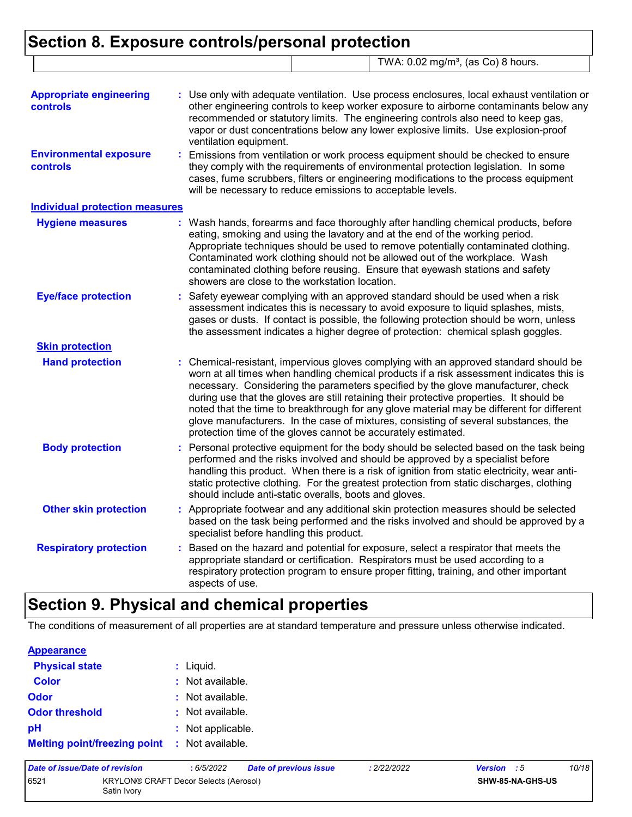### **Section 8. Exposure controls/personal protection** TWA: 0.02 mg/m<sup>3</sup>, (as Co) 8 hours.

| <b>Appropriate engineering</b>                   | Use only with adequate ventilation. Use process enclosures, local exhaust ventilation or                                                                                                                                                                                                                                                                                                                                                                                                                                                                                                                             |
|--------------------------------------------------|----------------------------------------------------------------------------------------------------------------------------------------------------------------------------------------------------------------------------------------------------------------------------------------------------------------------------------------------------------------------------------------------------------------------------------------------------------------------------------------------------------------------------------------------------------------------------------------------------------------------|
| controls                                         | other engineering controls to keep worker exposure to airborne contaminants below any<br>recommended or statutory limits. The engineering controls also need to keep gas,<br>vapor or dust concentrations below any lower explosive limits. Use explosion-proof<br>ventilation equipment.                                                                                                                                                                                                                                                                                                                            |
| <b>Environmental exposure</b><br><b>controls</b> | Emissions from ventilation or work process equipment should be checked to ensure<br>they comply with the requirements of environmental protection legislation. In some<br>cases, fume scrubbers, filters or engineering modifications to the process equipment<br>will be necessary to reduce emissions to acceptable levels.                                                                                                                                                                                                                                                                                        |
| <b>Individual protection measures</b>            |                                                                                                                                                                                                                                                                                                                                                                                                                                                                                                                                                                                                                      |
| <b>Hygiene measures</b>                          | : Wash hands, forearms and face thoroughly after handling chemical products, before<br>eating, smoking and using the lavatory and at the end of the working period.<br>Appropriate techniques should be used to remove potentially contaminated clothing.<br>Contaminated work clothing should not be allowed out of the workplace. Wash<br>contaminated clothing before reusing. Ensure that eyewash stations and safety<br>showers are close to the workstation location.                                                                                                                                          |
| <b>Eye/face protection</b>                       | Safety eyewear complying with an approved standard should be used when a risk<br>assessment indicates this is necessary to avoid exposure to liquid splashes, mists,<br>gases or dusts. If contact is possible, the following protection should be worn, unless<br>the assessment indicates a higher degree of protection: chemical splash goggles.                                                                                                                                                                                                                                                                  |
| <b>Skin protection</b>                           |                                                                                                                                                                                                                                                                                                                                                                                                                                                                                                                                                                                                                      |
| <b>Hand protection</b>                           | Chemical-resistant, impervious gloves complying with an approved standard should be<br>worn at all times when handling chemical products if a risk assessment indicates this is<br>necessary. Considering the parameters specified by the glove manufacturer, check<br>during use that the gloves are still retaining their protective properties. It should be<br>noted that the time to breakthrough for any glove material may be different for different<br>glove manufacturers. In the case of mixtures, consisting of several substances, the<br>protection time of the gloves cannot be accurately estimated. |
| <b>Body protection</b>                           | Personal protective equipment for the body should be selected based on the task being<br>performed and the risks involved and should be approved by a specialist before<br>handling this product. When there is a risk of ignition from static electricity, wear anti-<br>static protective clothing. For the greatest protection from static discharges, clothing<br>should include anti-static overalls, boots and gloves.                                                                                                                                                                                         |
| <b>Other skin protection</b>                     | : Appropriate footwear and any additional skin protection measures should be selected<br>based on the task being performed and the risks involved and should be approved by a<br>specialist before handling this product.                                                                                                                                                                                                                                                                                                                                                                                            |
| <b>Respiratory protection</b>                    | Based on the hazard and potential for exposure, select a respirator that meets the<br>appropriate standard or certification. Respirators must be used according to a<br>respiratory protection program to ensure proper fitting, training, and other important<br>aspects of use.                                                                                                                                                                                                                                                                                                                                    |

## **Section 9. Physical and chemical properties**

The conditions of measurement of all properties are at standard temperature and pressure unless otherwise indicated.

| <b>Appearance</b>                   |                   |
|-------------------------------------|-------------------|
| <b>Physical state</b>               | $:$ Liquid.       |
| <b>Color</b>                        | : Not available.  |
| Odor                                | : Not available.  |
| <b>Odor threshold</b>               | : Not available.  |
| рH                                  | : Not applicable. |
| <b>Melting point/freezing point</b> | : Not available.  |

| Date of issue/Date of revision |                                                      | : 6/5/2022 | Date of previous issue | : 2/22/2022 | <b>Version</b> : 5 |                         | 10/18 |
|--------------------------------|------------------------------------------------------|------------|------------------------|-------------|--------------------|-------------------------|-------|
| 6521                           | KRYLON® CRAFT Decor Selects (Aerosol)<br>Satin Ivory |            |                        |             |                    | <b>SHW-85-NA-GHS-US</b> |       |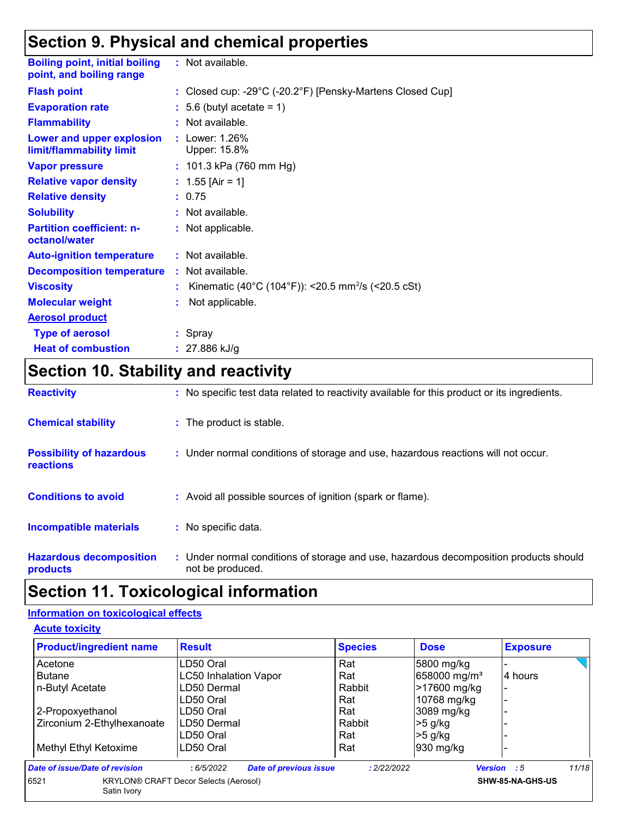## **Section 9. Physical and chemical properties**

| <b>Boiling point, initial boiling</b><br>point, and boiling range | : Not available.                                                                |
|-------------------------------------------------------------------|---------------------------------------------------------------------------------|
| <b>Flash point</b>                                                | : Closed cup: -29 $^{\circ}$ C (-20.2 $^{\circ}$ F) [Pensky-Martens Closed Cup] |
| <b>Evaporation rate</b>                                           | $: 5.6$ (butyl acetate = 1)                                                     |
| <b>Flammability</b>                                               | $:$ Not available.                                                              |
| Lower and upper explosion<br>limit/flammability limit             | : Lower: 1.26%<br>Upper: 15.8%                                                  |
| <b>Vapor pressure</b>                                             | : 101.3 kPa (760 mm Hg)                                                         |
| <b>Relative vapor density</b>                                     | : $1.55$ [Air = 1]                                                              |
| <b>Relative density</b>                                           | : 0.75                                                                          |
| <b>Solubility</b>                                                 | : Not available.                                                                |
| <b>Partition coefficient: n-</b><br>octanol/water                 | : Not applicable.                                                               |
| <b>Auto-ignition temperature</b>                                  | $:$ Not available.                                                              |
| <b>Decomposition temperature</b>                                  | : Not available.                                                                |
| <b>Viscosity</b>                                                  | Kinematic (40°C (104°F)): <20.5 mm <sup>2</sup> /s (<20.5 cSt)                  |
| <b>Molecular weight</b>                                           | Not applicable.                                                                 |
| <b>Aerosol product</b>                                            |                                                                                 |
| <b>Type of aerosol</b>                                            | : Spray                                                                         |
| <b>Heat of combustion</b>                                         | : $27.886$ kJ/g                                                                 |

# **Section 10. Stability and reactivity**

| <b>Reactivity</b>                                   | : No specific test data related to reactivity available for this product or its ingredients.              |
|-----------------------------------------------------|-----------------------------------------------------------------------------------------------------------|
| <b>Chemical stability</b>                           | : The product is stable.                                                                                  |
| <b>Possibility of hazardous</b><br><b>reactions</b> | : Under normal conditions of storage and use, hazardous reactions will not occur.                         |
| <b>Conditions to avoid</b>                          | : Avoid all possible sources of ignition (spark or flame).                                                |
| <b>Incompatible materials</b>                       | : No specific data.                                                                                       |
| <b>Hazardous decomposition</b><br>products          | : Under normal conditions of storage and use, hazardous decomposition products should<br>not be produced. |

## **Section 11. Toxicological information**

#### **Information on toxicological effects**

**Acute toxicity**

| <b>Product/ingredient name</b> | <b>Result</b>                                | <b>Species</b> | <b>Dose</b>              | <b>Exposure</b>      |
|--------------------------------|----------------------------------------------|----------------|--------------------------|----------------------|
| Acetone                        | LD50 Oral                                    | Rat            | 5800 mg/kg               |                      |
| <b>Butane</b>                  | <b>LC50 Inhalation Vapor</b>                 | Rat            | 658000 mg/m <sup>3</sup> | 4 hours              |
| n-Butyl Acetate                | LD50 Dermal                                  | Rabbit         | >17600 mg/kg             | $\blacksquare$       |
|                                | LD50 Oral                                    | Rat            | 10768 mg/kg              |                      |
| 2-Propoxyethanol               | LD50 Oral                                    | Rat            | 3089 mg/kg               |                      |
| Zirconium 2-Ethylhexanoate     | LD50 Dermal                                  | Rabbit         | $>5$ g/kg                |                      |
|                                | LD50 Oral                                    | Rat            | $>5$ g/kg                |                      |
| Methyl Ethyl Ketoxime          | LD50 Oral                                    | Rat            | 1930 mg/kg               |                      |
| Date of issue/Date of revision | <b>Date of previous issue</b><br>:6/5/2022   | : 2/22/2022    |                          | 11/18<br>Version : 5 |
| 6521<br>Satin Ivory            | <b>KRYLON® CRAFT Decor Selects (Aerosol)</b> |                |                          | SHW-85-NA-GHS-US     |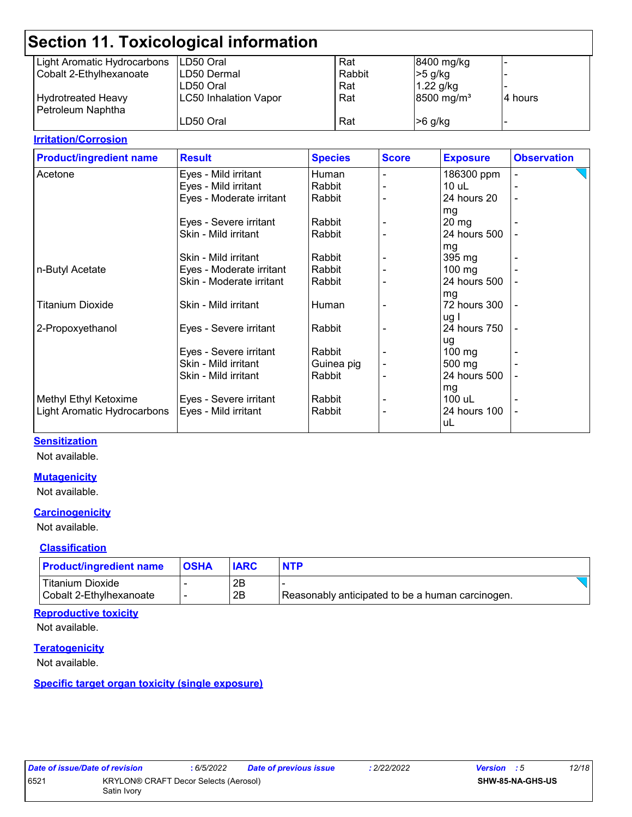|                             | <b>Section 11. Toxicological information</b> |        |                        |                          |
|-----------------------------|----------------------------------------------|--------|------------------------|--------------------------|
| Light Aromatic Hydrocarbons | LD50 Oral                                    | Rat    | 8400 mg/kg             | $\overline{\phantom{a}}$ |
| Cobalt 2-Ethylhexanoate     | LD50 Dermal                                  | Rabbit | $>5$ g/kg              |                          |
|                             | LD50 Oral                                    | Rat    | $1.22$ g/kg            | <u>.</u>                 |
| <b>Hydrotreated Heavy</b>   | <b>LC50 Inhalation Vapor</b>                 | Rat    | 8500 mg/m <sup>3</sup> | 4 hours                  |
| Petroleum Naphtha           |                                              |        |                        |                          |
|                             | LD50 Oral                                    | Rat    | $>6$ g/kg              | $\overline{\phantom{0}}$ |

#### **Irritation/Corrosion**

| <b>Product/ingredient name</b> | <b>Result</b>            | <b>Species</b> | <b>Score</b> | <b>Exposure</b>    | <b>Observation</b>       |
|--------------------------------|--------------------------|----------------|--------------|--------------------|--------------------------|
| Acetone                        | Eyes - Mild irritant     | Human          |              | 186300 ppm         |                          |
|                                | Eyes - Mild irritant     | Rabbit         |              | $10$ uL            |                          |
|                                | Eyes - Moderate irritant | Rabbit         |              | 24 hours 20        | $\overline{\phantom{a}}$ |
|                                |                          |                |              | mg                 |                          |
|                                | Eyes - Severe irritant   | Rabbit         |              | $20 \,\mathrm{mg}$ |                          |
|                                | Skin - Mild irritant     | Rabbit         |              | 24 hours 500       |                          |
|                                |                          |                |              | mg                 |                          |
|                                | Skin - Mild irritant     | Rabbit         |              | 395 mg             |                          |
| n-Butyl Acetate                | Eyes - Moderate irritant | Rabbit         |              | $100$ mg           |                          |
|                                | Skin - Moderate irritant | Rabbit         |              | 24 hours 500       |                          |
|                                |                          |                |              | mg                 |                          |
| <b>Titanium Dioxide</b>        | Skin - Mild irritant     | Human          |              | 72 hours 300       |                          |
|                                |                          |                |              | ug I               |                          |
| 2-Propoxyethanol               | Eyes - Severe irritant   | Rabbit         |              | 24 hours 750       |                          |
|                                |                          |                |              | ug                 |                          |
|                                | Eyes - Severe irritant   | Rabbit         |              | $100 \text{ mg}$   |                          |
|                                | Skin - Mild irritant     | Guinea pig     |              | 500 mg             |                          |
|                                | Skin - Mild irritant     | Rabbit         |              | 24 hours 500       |                          |
|                                |                          |                |              | mg                 |                          |
| Methyl Ethyl Ketoxime          | Eyes - Severe irritant   | Rabbit         |              | 100 uL             |                          |
| Light Aromatic Hydrocarbons    | Eyes - Mild irritant     | Rabbit         |              | 24 hours 100       |                          |
|                                |                          |                |              | uL                 |                          |
|                                |                          |                |              |                    |                          |

#### **Sensitization**

Not available.

#### **Mutagenicity**

Not available.

#### **Carcinogenicity**

Not available.

#### **Classification**

| <b>Product/ingredient name</b> | <b>IOSHA</b> |    | <b>NTP</b>                                       |  |
|--------------------------------|--------------|----|--------------------------------------------------|--|
| <b>Titanium Dioxide</b>        |              | 2B |                                                  |  |
| Cobalt 2-Ethylhexanoate        |              | 2B | Reasonably anticipated to be a human carcinogen. |  |

#### **Reproductive toxicity**

Not available.

#### **Teratogenicity**

Not available.

#### **Specific target organ toxicity (single exposure)**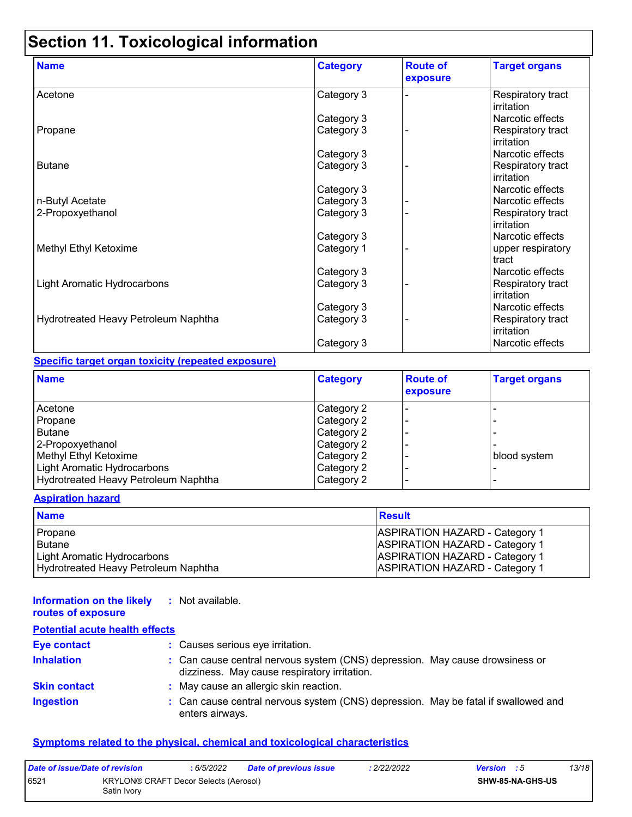# **Section 11. Toxicological information**

| <b>Name</b>                          | <b>Category</b> | <b>Route of</b><br>exposure | <b>Target organs</b>            |
|--------------------------------------|-----------------|-----------------------------|---------------------------------|
| Acetone                              | Category 3      |                             | Respiratory tract<br>irritation |
|                                      | Category 3      |                             | Narcotic effects                |
| Propane                              | Category 3      |                             | Respiratory tract<br>irritation |
|                                      | Category 3      |                             | Narcotic effects                |
| <b>Butane</b>                        | Category 3      |                             | Respiratory tract<br>irritation |
|                                      | Category 3      |                             | Narcotic effects                |
| n-Butyl Acetate                      | Category 3      |                             | Narcotic effects                |
| 2-Propoxyethanol                     | Category 3      |                             | Respiratory tract<br>irritation |
|                                      | Category 3      |                             | Narcotic effects                |
| Methyl Ethyl Ketoxime                | Category 1      |                             | upper respiratory<br>tract      |
|                                      | Category 3      |                             | Narcotic effects                |
| <b>Light Aromatic Hydrocarbons</b>   | Category 3      |                             | Respiratory tract<br>irritation |
|                                      | Category 3      |                             | Narcotic effects                |
| Hydrotreated Heavy Petroleum Naphtha | Category 3      |                             | Respiratory tract<br>irritation |
|                                      | Category 3      |                             | Narcotic effects                |

#### **Specific target organ toxicity (repeated exposure)**

| <b>Name</b>                          | <b>Category</b> | <b>Route of</b><br>exposure | <b>Target organs</b> |
|--------------------------------------|-----------------|-----------------------------|----------------------|
| Acetone                              | Category 2      |                             |                      |
| Propane                              | Category 2      |                             |                      |
| <b>Butane</b>                        | Category 2      |                             |                      |
| 2-Propoxyethanol                     | Category 2      |                             |                      |
| Methyl Ethyl Ketoxime                | Category 2      |                             | blood system         |
| Light Aromatic Hydrocarbons          | Category 2      |                             |                      |
| Hydrotreated Heavy Petroleum Naphtha | Category 2      |                             |                      |

#### **Aspiration hazard**

| <b>Name</b>                          | <b>Result</b>                         |
|--------------------------------------|---------------------------------------|
| Propane                              | <b>ASPIRATION HAZARD - Category 1</b> |
| l Butane                             | <b>ASPIRATION HAZARD - Category 1</b> |
| Light Aromatic Hydrocarbons          | <b>ASPIRATION HAZARD - Category 1</b> |
| Hydrotreated Heavy Petroleum Naphtha | <b>ASPIRATION HAZARD - Category 1</b> |

#### **Information on the likely :** Not available.

| routes of exposure                    |                                                                                                                              |
|---------------------------------------|------------------------------------------------------------------------------------------------------------------------------|
| <b>Potential acute health effects</b> |                                                                                                                              |
| <b>Eye contact</b>                    | : Causes serious eye irritation.                                                                                             |
| <b>Inhalation</b>                     | : Can cause central nervous system (CNS) depression. May cause drowsiness or<br>dizziness. May cause respiratory irritation. |
| <b>Skin contact</b>                   | : May cause an allergic skin reaction.                                                                                       |
| <b>Ingestion</b>                      | : Can cause central nervous system (CNS) depression. May be fatal if swallowed and<br>enters airways.                        |

#### **Symptoms related to the physical, chemical and toxicological characteristics**

| Date of issue/Date of revision |                                                      | : 6/5/2022 | <b>Date of previous issue</b> | : 2/22/2022 | <b>Version</b> : 5 |                         | 13/18 |
|--------------------------------|------------------------------------------------------|------------|-------------------------------|-------------|--------------------|-------------------------|-------|
| 6521                           | KRYLON® CRAFT Decor Selects (Aerosol)<br>Satin Ivory |            |                               |             |                    | <b>SHW-85-NA-GHS-US</b> |       |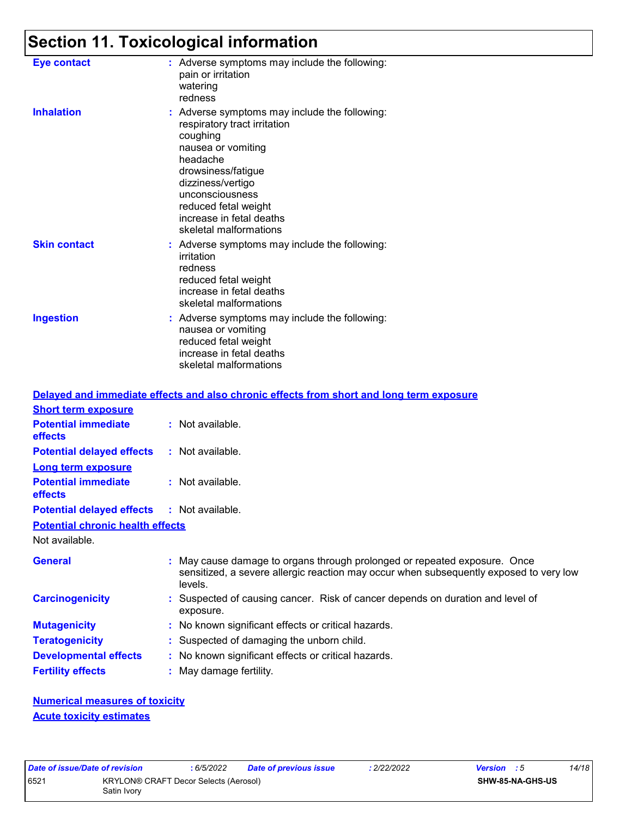# **Section 11. Toxicological information**

| <b>Eye contact</b>  | : Adverse symptoms may include the following:<br>pain or irritation<br>watering<br>redness                                                                                                                                                                              |
|---------------------|-------------------------------------------------------------------------------------------------------------------------------------------------------------------------------------------------------------------------------------------------------------------------|
| <b>Inhalation</b>   | : Adverse symptoms may include the following:<br>respiratory tract irritation<br>coughing<br>nausea or vomiting<br>headache<br>drowsiness/fatigue<br>dizziness/vertigo<br>unconsciousness<br>reduced fetal weight<br>increase in fetal deaths<br>skeletal malformations |
| <b>Skin contact</b> | : Adverse symptoms may include the following:<br>irritation<br>redness<br>reduced fetal weight<br>increase in fetal deaths<br>skeletal malformations                                                                                                                    |
| <b>Ingestion</b>    | : Adverse symptoms may include the following:<br>nausea or vomiting<br>reduced fetal weight<br>increase in fetal deaths<br>skeletal malformations                                                                                                                       |

|                                                   |                         | Delayed and immediate effects and also chronic effects from short and long term exposure                                                                            |
|---------------------------------------------------|-------------------------|---------------------------------------------------------------------------------------------------------------------------------------------------------------------|
| <b>Short term exposure</b>                        |                         |                                                                                                                                                                     |
| <b>Potential immediate</b><br>effects             | : Not available.        |                                                                                                                                                                     |
| <b>Potential delayed effects</b>                  | : Not available.        |                                                                                                                                                                     |
| <b>Long term exposure</b>                         |                         |                                                                                                                                                                     |
| <b>Potential immediate</b><br>effects             | : Not available.        |                                                                                                                                                                     |
| <b>Potential delayed effects : Not available.</b> |                         |                                                                                                                                                                     |
| <b>Potential chronic health effects</b>           |                         |                                                                                                                                                                     |
| Not available.                                    |                         |                                                                                                                                                                     |
| <b>General</b>                                    | levels.                 | : May cause damage to organs through prolonged or repeated exposure. Once<br>sensitized, a severe allergic reaction may occur when subsequently exposed to very low |
| <b>Carcinogenicity</b>                            | exposure.               | : Suspected of causing cancer. Risk of cancer depends on duration and level of                                                                                      |
| <b>Mutagenicity</b>                               |                         | : No known significant effects or critical hazards.                                                                                                                 |
| <b>Teratogenicity</b>                             |                         | : Suspected of damaging the unborn child.                                                                                                                           |
| <b>Developmental effects</b>                      |                         | : No known significant effects or critical hazards.                                                                                                                 |
| <b>Fertility effects</b>                          | : May damage fertility. |                                                                                                                                                                     |

**Numerical measures of toxicity Acute toxicity estimates**

| Date of issue/Date of revision |                                                             | : 6/5/2022 | <b>Date of previous issue</b> | 2/22/2022 | <b>Version</b> : 5 |                  | 14/18 |
|--------------------------------|-------------------------------------------------------------|------------|-------------------------------|-----------|--------------------|------------------|-------|
| 6521                           | <b>KRYLON® CRAFT Decor Selects (Aerosol)</b><br>Satin Ivory |            |                               |           |                    | SHW-85-NA-GHS-US |       |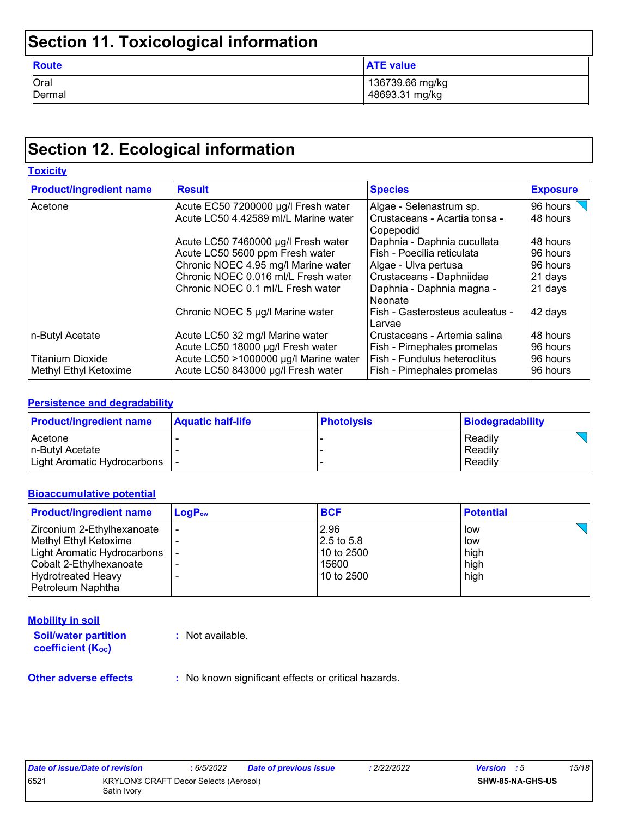# **Section 11. Toxicological information**

| <b>Route</b> | <b>ATE value</b> |
|--------------|------------------|
| Oral         | 136739.66 mg/kg  |
| Dermal       | 48693.31 mg/kg   |

# **Section 12. Ecological information**

| <b>Toxicity</b>                |                                       |                                                |                 |
|--------------------------------|---------------------------------------|------------------------------------------------|-----------------|
| <b>Product/ingredient name</b> | <b>Result</b>                         | <b>Species</b>                                 | <b>Exposure</b> |
| Acetone                        | Acute EC50 7200000 µg/l Fresh water   | Algae - Selenastrum sp.                        | 96 hours        |
|                                | Acute LC50 4.42589 ml/L Marine water  | l Crustaceans - Acartia tonsa -<br>l Copepodid | 48 hours        |
|                                | Acute LC50 7460000 µg/l Fresh water   | Daphnia - Daphnia cucullata                    | 48 hours        |
|                                | Acute LC50 5600 ppm Fresh water       | Fish - Poecilia reticulata                     | 96 hours        |
|                                | Chronic NOEC 4.95 mg/l Marine water   | Algae - Ulva pertusa                           | 96 hours        |
|                                | Chronic NOEC 0.016 ml/L Fresh water   | Crustaceans - Daphniidae                       | 21 days         |
|                                | Chronic NOEC 0.1 ml/L Fresh water     | Daphnia - Daphnia magna -<br>l Neonate         | 21 days         |
|                                | Chronic NOEC 5 µg/l Marine water      | Fish - Gasterosteus aculeatus -<br>Larvae      | 42 days         |
| n-Butyl Acetate                | Acute LC50 32 mg/l Marine water       | Crustaceans - Artemia salina                   | 48 hours        |
|                                | Acute LC50 18000 µg/l Fresh water     | Fish - Pimephales promelas                     | 96 hours        |
| <b>Titanium Dioxide</b>        | Acute LC50 >1000000 µg/l Marine water | Fish - Fundulus heteroclitus                   | 96 hours        |
| Methyl Ethyl Ketoxime          | Acute LC50 843000 µg/l Fresh water    | Fish - Pimephales promelas                     | 96 hours        |

#### **Persistence and degradability**

| <b>Product/ingredient name</b>  | <b>Aquatic half-life</b> | <b>Photolysis</b> | Biodegradability |
|---------------------------------|--------------------------|-------------------|------------------|
| Acetone                         |                          |                   | Readily          |
| In-Butvl Acetate                |                          |                   | Readily          |
| Light Aromatic Hydrocarbons   - |                          |                   | Readily          |

#### **Bioaccumulative potential**

| <b>Product/ingredient name</b> | $LogP_{ow}$ | <b>BCF</b> | <b>Potential</b> |
|--------------------------------|-------------|------------|------------------|
| Zirconium 2-Ethylhexanoate     |             | 2.96       | low              |
| Methyl Ethyl Ketoxime          |             | 2.5 to 5.8 | low              |
| Light Aromatic Hydrocarbons    |             | 10 to 2500 | high             |
| Cobalt 2-Ethylhexanoate        |             | 15600      | high             |
| <b>Hydrotreated Heavy</b>      | -           | 10 to 2500 | high             |
| Petroleum Naphtha              |             |            |                  |

#### **Mobility in soil**

**Soil/water partition coefficient (KOC) :** Not available.

**Other adverse effects** : No known significant effects or critical hazards.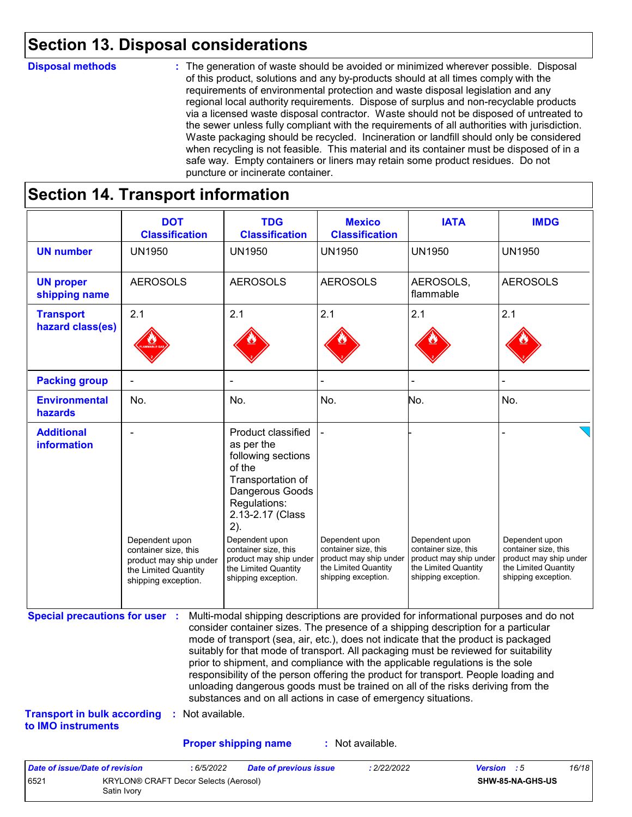### **Section 13. Disposal considerations**

#### **Disposal methods :**

The generation of waste should be avoided or minimized wherever possible. Disposal of this product, solutions and any by-products should at all times comply with the requirements of environmental protection and waste disposal legislation and any regional local authority requirements. Dispose of surplus and non-recyclable products via a licensed waste disposal contractor. Waste should not be disposed of untreated to the sewer unless fully compliant with the requirements of all authorities with jurisdiction. Waste packaging should be recycled. Incineration or landfill should only be considered when recycling is not feasible. This material and its container must be disposed of in a safe way. Empty containers or liners may retain some product residues. Do not puncture or incinerate container.

# **Section 14. Transport information**

6521 KRYLON® CRAFT Decor Selects (Aerosol)

Satin Ivory

|                                                                             | <b>DOT</b><br><b>Classification</b>                                                                             | <b>TDG</b><br><b>Classification</b>                                                                                                                                                                                                                                                                                                                                                                                                                                                                                                                                                                                                                                                 | <b>Mexico</b><br><b>Classification</b>                                                                          | <b>IATA</b>                                                                                                     | <b>IMDG</b>                                                                                                     |
|-----------------------------------------------------------------------------|-----------------------------------------------------------------------------------------------------------------|-------------------------------------------------------------------------------------------------------------------------------------------------------------------------------------------------------------------------------------------------------------------------------------------------------------------------------------------------------------------------------------------------------------------------------------------------------------------------------------------------------------------------------------------------------------------------------------------------------------------------------------------------------------------------------------|-----------------------------------------------------------------------------------------------------------------|-----------------------------------------------------------------------------------------------------------------|-----------------------------------------------------------------------------------------------------------------|
| <b>UN number</b>                                                            | <b>UN1950</b>                                                                                                   | <b>UN1950</b>                                                                                                                                                                                                                                                                                                                                                                                                                                                                                                                                                                                                                                                                       | <b>UN1950</b>                                                                                                   | <b>UN1950</b>                                                                                                   | <b>UN1950</b>                                                                                                   |
| <b>UN proper</b><br>shipping name                                           | <b>AEROSOLS</b>                                                                                                 | <b>AEROSOLS</b>                                                                                                                                                                                                                                                                                                                                                                                                                                                                                                                                                                                                                                                                     | <b>AEROSOLS</b>                                                                                                 | AEROSOLS,<br>flammable                                                                                          | <b>AEROSOLS</b>                                                                                                 |
| <b>Transport</b><br>hazard class(es)                                        | 2.1                                                                                                             | 2.1                                                                                                                                                                                                                                                                                                                                                                                                                                                                                                                                                                                                                                                                                 | 2.1                                                                                                             | 2.1                                                                                                             | 2.1                                                                                                             |
| <b>Packing group</b>                                                        |                                                                                                                 |                                                                                                                                                                                                                                                                                                                                                                                                                                                                                                                                                                                                                                                                                     |                                                                                                                 |                                                                                                                 |                                                                                                                 |
| <b>Environmental</b><br>hazards                                             | No.                                                                                                             | No.                                                                                                                                                                                                                                                                                                                                                                                                                                                                                                                                                                                                                                                                                 | No.                                                                                                             | No.                                                                                                             | No.                                                                                                             |
| <b>Additional</b><br>information                                            | Dependent upon<br>container size, this<br>product may ship under<br>the Limited Quantity<br>shipping exception. | <b>Product classified</b><br>as per the<br>following sections<br>of the<br>Transportation of<br>Dangerous Goods<br>Regulations:<br>2.13-2.17 (Class<br>2).<br>Dependent upon<br>container size, this<br>product may ship under<br>the Limited Quantity<br>shipping exception.                                                                                                                                                                                                                                                                                                                                                                                                       | Dependent upon<br>container size, this<br>product may ship under<br>the Limited Quantity<br>shipping exception. | Dependent upon<br>container size, this<br>product may ship under<br>the Limited Quantity<br>shipping exception. | Dependent upon<br>container size, this<br>product may ship under<br>the Limited Quantity<br>shipping exception. |
| <b>Special precautions for user :</b><br><b>Transport in bulk according</b> | : Not available.                                                                                                | Multi-modal shipping descriptions are provided for informational purposes and do not<br>consider container sizes. The presence of a shipping description for a particular<br>mode of transport (sea, air, etc.), does not indicate that the product is packaged<br>suitably for that mode of transport. All packaging must be reviewed for suitability<br>prior to shipment, and compliance with the applicable regulations is the sole<br>responsibility of the person offering the product for transport. People loading and<br>unloading dangerous goods must be trained on all of the risks deriving from the<br>substances and on all actions in case of emergency situations. |                                                                                                                 |                                                                                                                 |                                                                                                                 |
| to IMO instruments                                                          |                                                                                                                 |                                                                                                                                                                                                                                                                                                                                                                                                                                                                                                                                                                                                                                                                                     |                                                                                                                 |                                                                                                                 |                                                                                                                 |
|                                                                             |                                                                                                                 | <b>Proper shipping name</b>                                                                                                                                                                                                                                                                                                                                                                                                                                                                                                                                                                                                                                                         | : Not available.                                                                                                |                                                                                                                 |                                                                                                                 |

**SHW-85-NA-GHS-US**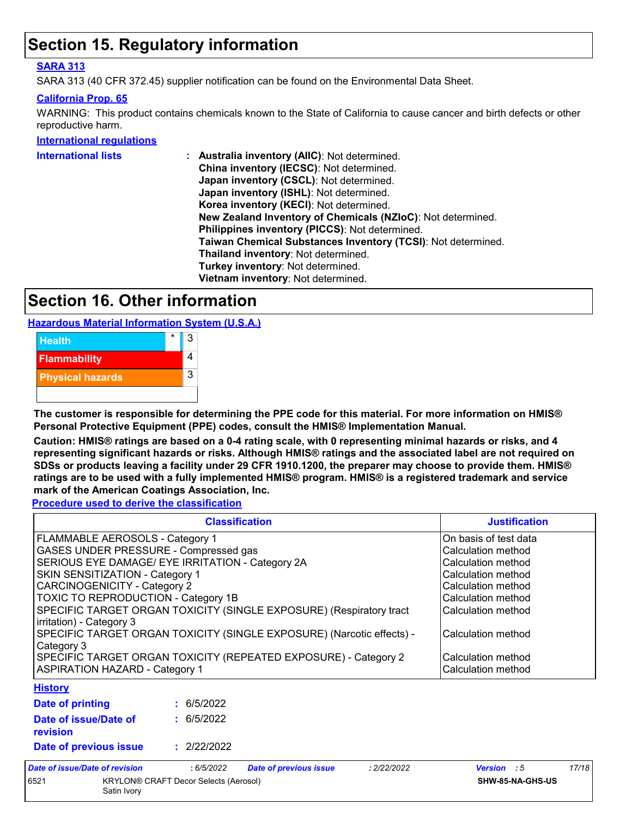### **Section 15. Regulatory information**

#### **SARA 313**

SARA 313 (40 CFR 372.45) supplier notification can be found on the Environmental Data Sheet.

#### **California Prop. 65**

WARNING: This product contains chemicals known to the State of California to cause cancer and birth defects or other reproductive harm.

#### **International regulations**

| International lists | : Australia inventory (AIIC): Not determined.                |
|---------------------|--------------------------------------------------------------|
|                     | China inventory (IECSC): Not determined.                     |
|                     | Japan inventory (CSCL): Not determined.                      |
|                     | Japan inventory (ISHL): Not determined.                      |
|                     | Korea inventory (KECI): Not determined.                      |
|                     | New Zealand Inventory of Chemicals (NZIoC): Not determined.  |
|                     | Philippines inventory (PICCS): Not determined.               |
|                     | Taiwan Chemical Substances Inventory (TCSI): Not determined. |
|                     | Thailand inventory: Not determined.                          |
|                     | Turkey inventory: Not determined.                            |
|                     | Vietnam inventory: Not determined.                           |
|                     |                                                              |

### **Section 16. Other information**

**Hazardous Material Information System (U.S.A.)**



**The customer is responsible for determining the PPE code for this material. For more information on HMIS® Personal Protective Equipment (PPE) codes, consult the HMIS® Implementation Manual.**

**Caution: HMIS® ratings are based on a 0-4 rating scale, with 0 representing minimal hazards or risks, and 4 representing significant hazards or risks. Although HMIS® ratings and the associated label are not required on SDSs or products leaving a facility under 29 CFR 1910.1200, the preparer may choose to provide them. HMIS® ratings are to be used with a fully implemented HMIS® program. HMIS® is a registered trademark and service mark of the American Coatings Association, Inc.**

**Procedure used to derive the classification**

|                                        |                                                                                                                                                                                                                                                                                                                                                                                                                                                                                                           | <b>Classification</b>         |                                                                                                                                                                                                                             | <b>Justification</b> |       |
|----------------------------------------|-----------------------------------------------------------------------------------------------------------------------------------------------------------------------------------------------------------------------------------------------------------------------------------------------------------------------------------------------------------------------------------------------------------------------------------------------------------------------------------------------------------|-------------------------------|-----------------------------------------------------------------------------------------------------------------------------------------------------------------------------------------------------------------------------|----------------------|-------|
| irritation) - Category 3<br>Category 3 | FLAMMABLE AEROSOLS - Category 1<br>GASES UNDER PRESSURE - Compressed gas<br>SERIOUS EYE DAMAGE/ EYE IRRITATION - Category 2A<br>SKIN SENSITIZATION - Category 1<br><b>CARCINOGENICITY - Category 2</b><br>TOXIC TO REPRODUCTION - Category 1B<br>SPECIFIC TARGET ORGAN TOXICITY (SINGLE EXPOSURE) (Respiratory tract<br>SPECIFIC TARGET ORGAN TOXICITY (SINGLE EXPOSURE) (Narcotic effects) -<br>SPECIFIC TARGET ORGAN TOXICITY (REPEATED EXPOSURE) - Category 2<br><b>ASPIRATION HAZARD - Category 1</b> |                               | On basis of test data<br>Calculation method<br>Calculation method<br>Calculation method<br>Calculation method<br>Calculation method<br>Calculation method<br>Calculation method<br>Calculation method<br>Calculation method |                      |       |
| <b>History</b><br>Date of printing     | : 6/5/2022                                                                                                                                                                                                                                                                                                                                                                                                                                                                                                |                               |                                                                                                                                                                                                                             |                      |       |
| Date of issue/Date of<br>revision      | : 6/5/2022                                                                                                                                                                                                                                                                                                                                                                                                                                                                                                |                               |                                                                                                                                                                                                                             |                      |       |
| Date of previous issue                 | : 2/22/2022                                                                                                                                                                                                                                                                                                                                                                                                                                                                                               |                               |                                                                                                                                                                                                                             |                      |       |
| <b>Date of issue/Date of revision</b>  | : 6/5/2022                                                                                                                                                                                                                                                                                                                                                                                                                                                                                                | <b>Date of previous issue</b> | : 2/22/2022                                                                                                                                                                                                                 | <b>Version</b> : 5   | 17/18 |